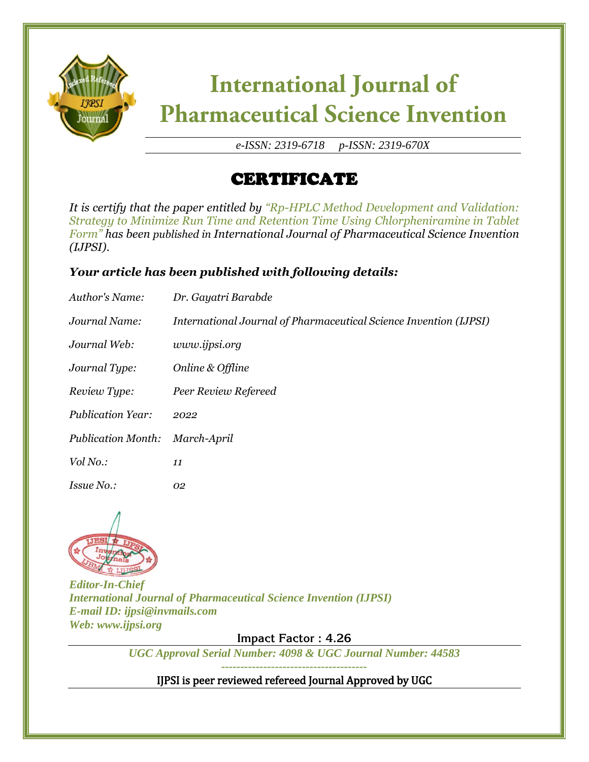

# **International Journal of Pharmaceutical Science Invention**

*e-ISSN: 2319-6718 p-ISSN: 2319-670X*

## CERTIFICATE

*It is certify that the paper entitled by "Rp-HPLC Method Development and Validation: Strategy to Minimize Run Time and Retention Time Using Chlorpheniramine in Tablet Form" has been published in International Journal of Pharmaceutical Science Invention (IJPSI).*

### *Your article has been published with following details:*

| Author's Name:            | Dr. Gayatri Barabde                                               |
|---------------------------|-------------------------------------------------------------------|
| Journal Name:             | International Journal of Pharmaceutical Science Invention (IJPSI) |
| Journal Web:              | www.ijpsi.org                                                     |
| Journal Type:             | Online & Offline                                                  |
| Review Type:              | Peer Review Refereed                                              |
| <b>Publication Year:</b>  | 2022                                                              |
| <b>Publication Month:</b> | March-April                                                       |
| Vol No.:                  | 11                                                                |
| <i>Issue No.:</i>         | 02                                                                |



*Editor-In-Chief International Journal of Pharmaceutical Science Invention (IJPSI) E-mail ID: ijpsi@invmails.com Web: www.ijpsi.org*

**Impact Factor : 4.26**

*UGC Approval Serial Number: 4098 & UGC Journal Number: 44583*

*--------------------------------------*

IJPSI is peer reviewed refereed Journal Approved by UGC